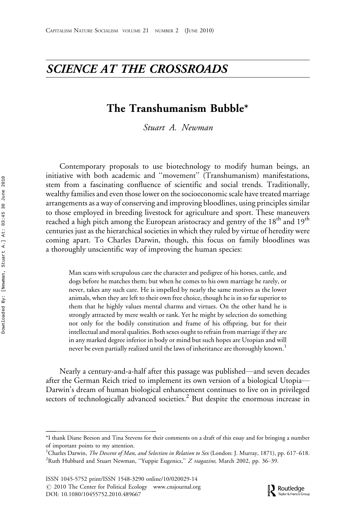# SCIENCE AT THE CROSSROADS

## The Transhumanism Bubble\*

Stuart A. Newman

Contemporary proposals to use biotechnology to modify human beings, an initiative with both academic and ''movement'' (Transhumanism) manifestations, stem from a fascinating confluence of scientific and social trends. Traditionally, wealthy families and even those lower on the socioeconomic scale have treated marriage arrangements as a way of conserving and improving bloodlines, using principles similar to those employed in breeding livestock for agriculture and sport. These maneuvers reached a high pitch among the European aristocracy and gentry of the 18<sup>th</sup> and 19<sup>th</sup> centuries just as the hierarchical societies in which they ruled by virtue of heredity were coming apart. To Charles Darwin, though, this focus on family bloodlines was a thoroughly unscientific way of improving the human species:

Man scans with scrupulous care the character and pedigree of his horses, cattle, and dogs before he matches them; but when he comes to his own marriage he rarely, or never, takes any such care. He is impelled by nearly the same motives as the lower animals, when they are left to their own free choice, though he is in so far superior to them that he highly values mental charms and virtues. On the other hand he is strongly attracted by mere wealth or rank. Yet he might by selection do something not only for the bodily constitution and frame of his offspring, but for their intellectual and moral qualities. Both sexes ought to refrain from marriage if they are in any marked degree inferior in body or mind but such hopes are Utopian and will never be even partially realized until the laws of inheritance are thoroughly known.<sup>1</sup>

Nearly a century-and-a-half after this passage was published—and seven decades after the German Reich tried to implement its own version of a biological Utopia-Darwin's dream of human biological enhancement continues to live on in privileged sectors of technologically advanced societies.<sup>2</sup> But despite the enormous increase in



<sup>\*</sup>I thank Diane Beeson and Tina Stevens for their comments on a draft of this essay and for bringing a number of important points to my attention.

<sup>&</sup>lt;sup>1</sup>Charles Darwin, *The Descent of Man, and Selection in Relation to Sex* (London: J. Murray, 1871), pp. 617–618.<br><sup>2</sup>Ruth Hubbard and Stuart Newman, "Yuppie Eugenics." *Z Magazine*, March 2002, pp. 36–39.

Ruth Hubbard and Stuart Newman, "Yuppie Eugenics," Z Magazine, March 2002, pp. 36–39.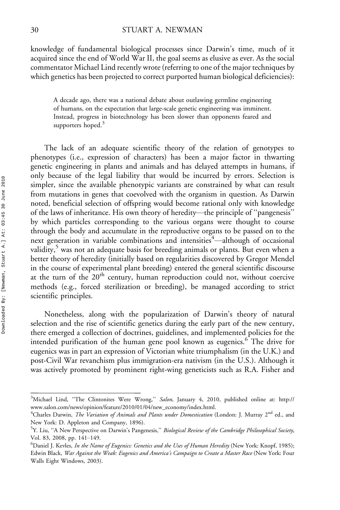knowledge of fundamental biological processes since Darwin's time, much of it acquired since the end of World War II, the goal seems as elusive as ever. As the social commentator Michael Lind recently wrote (referring to one of the major techniques by which genetics has been projected to correct purported human biological deficiencies):

A decade ago, there was a national debate about outlawing germline engineering of humans, on the expectation that large-scale genetic engineering was imminent. Instead, progress in biotechnology has been slower than opponents feared and supporters hoped.<sup>3</sup>

The lack of an adequate scientific theory of the relation of genotypes to phenotypes (i.e., expression of characters) has been a major factor in thwarting genetic engineering in plants and animals and has delayed attempts in humans, if only because of the legal liability that would be incurred by errors. Selection is simpler, since the available phenotypic variants are constrained by what can result from mutations in genes that coevolved with the organism in question. As Darwin noted, beneficial selection of offspring would become rational only with knowledge of the laws of inheritance. His own theory of heredity—the principle of "pangenesis" by which particles corresponding to the various organs were thought to course through the body and accumulate in the reproductive organs to be passed on to the next generation in variable combinations and intensities<sup>4</sup>—although of occasional validity,<sup>5</sup> was not an adequate basis for breeding animals or plants. But even when a better theory of heredity (initially based on regularities discovered by Gregor Mendel in the course of experimental plant breeding) entered the general scientific discourse at the turn of the  $20<sup>th</sup>$  century, human reproduction could not, without coercive methods (e.g., forced sterilization or breeding), be managed according to strict scientific principles.

Nonetheless, along with the popularization of Darwin's theory of natural selection and the rise of scientific genetics during the early part of the new century, there emerged a collection of doctrines, guidelines, and implemented policies for the intended purification of the human gene pool known as eugenics.<sup>6</sup> The drive for eugenics was in part an expression of Victorian white triumphalism (in the U.K.) and post-Civil War revanchism plus immigration-era nativism (in the U.S.). Although it was actively promoted by prominent right-wing geneticists such as R.A. Fisher and

<sup>&</sup>lt;sup>3</sup>Michael Lind, "The Clintonites Were Wrong," Salon, January 4, 2010, published online at: [http://](http://singularityu.org/) [www.salon.com/news/opinion/feature/2010/01/04/new\\_economy/index.html](http://singularityu.org/).

<sup>&</sup>lt;sup>4</sup>Charles Darwin, *The Variation of Animals and Plants under Domestication* (London: J. Murray 2<sup>nd</sup> ed., and New York: D. Appleton and Company, 1896).

<sup>&</sup>lt;sup>5</sup>Y. Liu, "A New Perspective on Darwin's Pangenesis," Biological Review of the Cambridge Philosophical Society, Vol. 83, 2008, pp. 141–149.<br><sup>6</sup>Daniel I. Keyles, *In the Naw* 

<sup>&</sup>lt;sup>6</sup>Daniel J. Kevles, In the Name of Eugenics: Genetics and the Uses of Human Heredity (New York: Knopf, 1985); Edwin Black, War Against the Weak: Eugenics and America's Campaign to Create a Master Race (New York: Four Walls Eight Windows, 2003).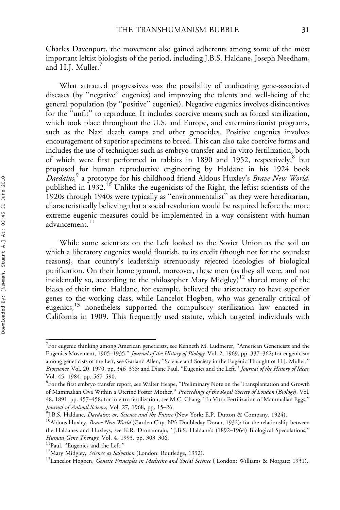Charles Davenport, the movement also gained adherents among some of the most important leftist biologists of the period, including J.B.S. Haldane, Joseph Needham, and H.J. Muller.<sup>7</sup>

What attracted progressives was the possibility of eradicating gene-associated diseases (by ''negative'' eugenics) and improving the talents and well-being of the general population (by ''positive'' eugenics). Negative eugenics involves disincentives for the ''unfit'' to reproduce. It includes coercive means such as forced sterilization, which took place throughout the U.S. and Europe, and exterminationist programs, such as the Nazi death camps and other genocides. Positive eugenics involves encouragement of superior specimens to breed. This can also take coercive forms and includes the use of techniques such as embryo transfer and in vitro fertilization, both of which were first performed in rabbits in 1890 and 1952, respectively, $8$  but proposed for human reproductive engineering by Haldane in his 1924 book Daedalus,<sup>9</sup> a prototype for his childhood friend Aldous Huxley's Brave New World, published in 1932.<sup>10</sup> Unlike the eugenicists of the Right, the leftist scientists of the 1920s through 1940s were typically as ''environmentalist'' as they were hereditarian, characteristically believing that a social revolution would be required before the more extreme eugenic measures could be implemented in a way consistent with human advancement.<sup>11</sup>

While some scientists on the Left looked to the Soviet Union as the soil on which a liberatory eugenics would flourish, to its credit (though not for the soundest reasons), that country's leadership strenuously rejected ideologies of biological purification. On their home ground, moreover, these men (as they all were, and not incidentally so, according to the philosopher Mary Midgley)<sup>12</sup> shared many of the biases of their time. Haldane, for example, believed the aristocracy to have superior genes to the working class, while Lancelot Hogben, who was generally critical of eugenics,<sup>13</sup> nonetheless supported the compulsory sterilization law enacted in California in 1909. This frequently used statute, which targeted individuals with

<sup>&</sup>lt;sup>7</sup>For eugenic thinking among American geneticists, see Kenneth M. Ludmerer, "American Geneticists and the Eugenics Movement, 1905–1935," Journal of the History of Biology, Vol. 2, 1969, pp. 337–362; for eugenicism among geneticists of the Left, see Garland Allen, ''Science and Society in the Eugenic Thought of H.J. Muller,'' Bioscience, Vol. 20, 1970, pp. 346-353; and Diane Paul, "Eugenics and the Left," Journal of the History of Ideas, Vol. 45, 1984, pp. 567–590.<br><sup>8</sup>For the first embryo transfer.

<sup>&</sup>lt;sup>8</sup>For the first embryo transfer report, see Walter Heape, "Preliminary Note on the Transplantation and Growth of Mammalian Ova Within a Uterine Foster Mother,'' Proceedings of the Royal Society of London (Biology), Vol. 48, 1891, pp. 457-458; for in vitro fertilization, see M.C. Chang, ''In Vitro Fertilization of Mammalian Eggs,'' Journal of Animal Science, Vol. 27, 1968, pp. 15–26.<br><sup>9</sup>IB S. Holdano, Daedakus on Science and the Future

<sup>&</sup>lt;sup>9</sup>J.B.S. Haldane, *Daedalus; or, Science and the Future* (New York: E.P. Dutton & Company, 1924).<br><sup>10</sup>Aldous Huxley, *Brave New World* (Garden City, NY: Doubleday Doran, 1932); for the relationship between the Haldanes and Huxleys, see K.R. Dronamraju, ''J.B.S. Haldane's (1892-1964) Biological Speculations,'' Human Gene Therapy, Vol. 4, 1993, pp. 303-306.

<sup>&</sup>lt;sup>11</sup>Paul, ''Eugenics and the Left.''<br><sup>12</sup>Mary Midgley, *Science as Salvation* (London: Routledge, 1992).<br><sup>13</sup>Lancelot Hogben, *Genetic Principles in Medicine and Social Science* ( London: Williams & Norgate; 1931).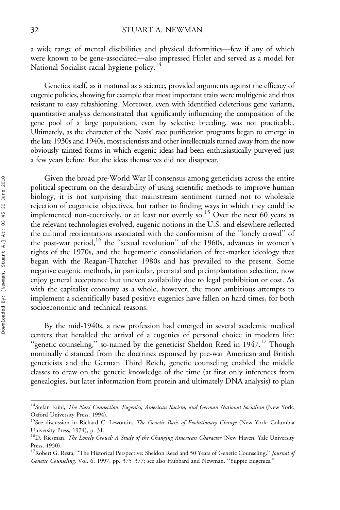a wide range of mental disabilities and physical deformities—few if any of which were known to be gene-associated\*also impressed Hitler and served as a model for National Socialist racial hygiene policy.<sup>14</sup>

Genetics itself, as it matured as a science, provided arguments against the efficacy of eugenic policies, showing for example that most important traits were multigenic and thus resistant to easy refashioning. Moreover, even with identified deleterious gene variants, quantitative analysis demonstrated that significantly influencing the composition of the gene pool of a large population, even by selective breeding, was not practicable. Ultimately, as the character of the Nazis' race purification programs began to emerge in the late 1930s and 1940s, most scientists and other intellectuals turned away from the now obviously tainted forms in which eugenic ideas had been enthusiastically purveyed just a few years before. But the ideas themselves did not disappear.

Given the broad pre-World War II consensus among geneticists across the entire political spectrum on the desirability of using scientific methods to improve human biology, it is not surprising that mainstream sentiment turned not to wholesale rejection of eugenicist objectives, but rather to finding ways in which they could be implemented non-coercively, or at least not overtly so.<sup>15</sup> Over the next 60 years as the relevant technologies evolved, eugenic notions in the U.S. and elsewhere reflected the cultural reorientations associated with the conformism of the ''lonely crowd'' of the post-war period,<sup>16</sup> the "sexual revolution" of the 1960s, advances in women's rights of the 1970s, and the hegemonic consolidation of free-market ideology that began with the Reagan-Thatcher 1980s and has prevailed to the present. Some negative eugenic methods, in particular, prenatal and preimplantation selection, now enjoy general acceptance but uneven availability due to legal prohibition or cost. As with the capitalist economy as a whole, however, the more ambitious attempts to implement a scientifically based positive eugenics have fallen on hard times, for both socioeconomic and technical reasons.

By the mid-1940s, a new profession had emerged in several academic medical centers that heralded the arrival of a eugenics of personal choice in modern life: "genetic counseling," so-named by the geneticist Sheldon Reed in  $1947$ .<sup>17</sup> Though nominally distanced from the doctrines espoused by pre-war American and British geneticists and the German Third Reich, genetic counseling enabled the middle classes to draw on the genetic knowledge of the time (at first only inferences from genealogies, but later information from protein and ultimately DNA analysis) to plan

<sup>&</sup>lt;sup>14</sup>Stefan Kühl, The Nazi Connection: Eugenics, American Racism, and German National Socialism (New York: Oxford University Press, 1994).

<sup>&</sup>lt;sup>15</sup>See discussion in Richard C. Lewontin, The Genetic Basis of Evolutionary Change (New York: Columbia University Press, 1974), p. 31.

<sup>&</sup>lt;sup>16</sup>D. Riesman, The Lonely Crowd: A Study of the Changing American Character (New Haven: Yale University Press, 1950).

<sup>&</sup>lt;sup>17</sup>Robert G. Resta, "The Historical Perspective: Sheldon Reed and 50 Years of Genetic Counseling," Journal of Genetic Counseling, Vol. 6, 1997, pp. 375-377; see also Hubbard and Newman, "Yuppie Eugenics."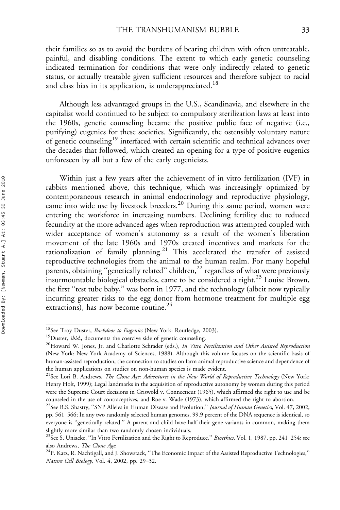their families so as to avoid the burdens of bearing children with often untreatable, painful, and disabling conditions. The extent to which early genetic counseling indicated termination for conditions that were only indirectly related to genetic status, or actually treatable given sufficient resources and therefore subject to racial and class bias in its application, is underappreciated.<sup>18</sup>

Although less advantaged groups in the U.S., Scandinavia, and elsewhere in the capitalist world continued to be subject to compulsory sterilization laws at least into the 1960s, genetic counseling became the positive public face of negative (i.e., purifying) eugenics for these societies. Significantly, the ostensibly voluntary nature of genetic counseling<sup>19</sup> interfaced with certain scientific and technical advances over the decades that followed, which created an opening for a type of positive eugenics unforeseen by all but a few of the early eugenicists.

Within just a few years after the achievement of in vitro fertilization (IVF) in rabbits mentioned above, this technique, which was increasingly optimized by contemporaneous research in animal endocrinology and reproductive physiology, came into wide use by livestock breeders.<sup>20</sup> During this same period, women were entering the workforce in increasing numbers. Declining fertility due to reduced fecundity at the more advanced ages when reproduction was attempted coupled with wider acceptance of women's autonomy as a result of the women's liberation movement of the late 1960s and 1970s created incentives and markets for the rationalization of family planning.<sup>21</sup> This accelerated the transfer of assisted reproductive technologies from the animal to the human realm. For many hopeful parents, obtaining "genetically related" children, $^{22}$  regardless of what were previously insurmountable biological obstacles, came to be considered a right.<sup>23</sup> Louise Brown, the first ''test tube baby,'' was born in 1977, and the technology (albeit now typically incurring greater risks to the egg donor from hormone treatment for multiple egg extractions), has now become routine.<sup>24</sup>

<sup>&</sup>lt;sup>18</sup>See Troy Duster, *Backdoor to Eugenics* (New York: Routledge, 2003).<br><sup>19</sup>Duster, *ibid.*, documents the coercive side of genetic counseling.<br><sup>20</sup>Howard W. Jones, Jr. and Charlotte Schrader (eds.), *In Vitro Fertilizati* (New York: New York Academy of Sciences, 1988). Although this volume focuses on the scientific basis of human-assisted reproduction, the connection to studies on farm animal reproductive science and dependence of the human applications on studies on non-human species is made evident.

<sup>&</sup>lt;sup>21</sup>See Lori B. Andrews, The Clone Age: Adventures in the New World of Reproductive Technology (New York: Henry Holt, 1999); Legal landmarks in the acquisition of reproductive autonomy by women during this period were the Supreme Court decisions in Griswold v. Connecticut (1965), which affirmed the right to use and be counseled in the use of contraceptives, and Roe v. Wade (1973), which affirmed the right to abortion.

<sup>&</sup>lt;sup>22</sup>See B.S. Shastry, "SNP Alleles in Human Disease and Evolution," Journal of Human Genetics, Vol. 47, 2002, pp. 561-566; In any two randomly selected human genomes, 99.9 percent of the DNA sequence is identical, so everyone is ''genetically related.'' A parent and child have half their gene variants in common, making them slightly more similar than two randomly chosen individuals.

 $^{23}$ See S. Uniacke, "In Vitro Fertilization and the Right to Reproduce," *Bioethics*, Vol. 1, 1987, pp. 241–254; see

also Andrews, *The Clone Age*.<br><sup>24</sup>P. Katz, R. Nachtigall, and J. Showstack, ''The Economic Impact of the Assisted Reproductive Technologies,'' Nature Cell Biology, Vol. 4, 2002, pp. 29-32.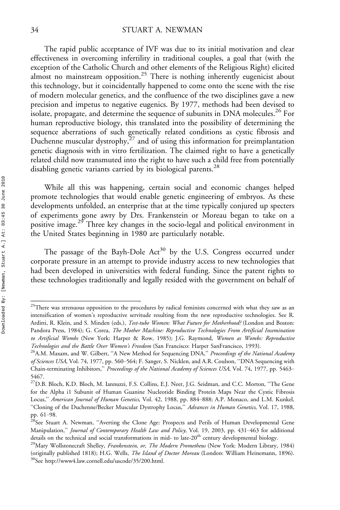The rapid public acceptance of IVF was due to its initial motivation and clear effectiveness in overcoming infertility in traditional couples, a goal that (with the exception of the Catholic Church and other elements of the Religious Right) elicited almost no mainstream opposition.<sup>25</sup> There is nothing inherently eugenicist about this technology, but it coincidentally happened to come onto the scene with the rise of modern molecular genetics, and the confluence of the two disciplines gave a new precision and impetus to negative eugenics. By 1977, methods had been devised to isolate, propagate, and determine the sequence of subunits in DNA molecules.<sup>26</sup> For human reproductive biology, this translated into the possibility of determining the sequence aberrations of such genetically related conditions as cystic fibrosis and Duchenne muscular dystrophy, $^{27}$  and of using this information for preimplantation genetic diagnosis with in vitro fertilization. The claimed right to have a genetically related child now transmuted into the right to have such a child free from potentially disabling genetic variants carried by its biological parents.<sup>28</sup>

While all this was happening, certain social and economic changes helped promote technologies that would enable genetic engineering of embryos. As these developments unfolded, an enterprise that at the time typically conjured up specters of experiments gone awry by Drs. Frankenstein or Moreau began to take on a positive image.<sup>29</sup> Three key changes in the socio-legal and political environment in the United States beginning in 1980 are particularly notable.

The passage of the Bayh-Dole Act<sup>30</sup> by the U.S. Congress occurred under corporate pressure in an attempt to provide industry access to new technologies that had been developed in universities with federal funding. Since the patent rights to these technologies traditionally and legally resided with the government on behalf of

<sup>&</sup>lt;sup>25</sup>There was strenuous opposition to the procedures by radical feminists concerned with what they saw as an intensification of women's reproductive servitude resulting from the new reproductive technologies. See R. Arditti, R. Klein, and S. Minden (eds.), Test-tube Women: What Future for Motherhood? (London and Boston: Pandora Press, 1984); G. Corea, The Mother Machine: Reproductive Technologies From Artificial Insemination to Artificial Wombs (New York: Harper & Row, 1985); J.G. Raymond, Women as Wombs: Reproductive

Technologies and the Battle Over Women's Freedom (San Francisco: Harper SanFrancisco, 1993).<br><sup>26</sup>A.M. Maxam, and W. Gilbert, ''A New Method for Sequencing DNA,'' *Proceedings of the National Academy* of Sciences USA, Vol. 74, 1977, pp. 560-564; F. Sanger, S. Nicklen, and A.R. Coulson, "DNA Sequencing with Chain-terminating Inhibitors," Proceedings of the National Academy of Sciences USA, Vol. 74, 1977, pp. 5463-5467.

<sup>&</sup>lt;sup>27</sup>D.B. Bloch, K.D. Bloch, M. Iannuzzi, F.S. Collins, E.J. Neer, J.G. Seidman, and C.C. Morton, "The Gene for the Alpha i1 Subunit of Human Guanine Nucleotide Binding Protein Maps Near the Cystic Fibrosis Locus," American Journal of Human Genetics, Vol. 42, 1988, pp. 884–888; A.P. Monaco, and L.M. Kunkel, ''Cloning of the Duchenne/Becker Muscular Dystrophy Locus,'' Advances in Human Genetics, Vol. 17, 1988, pp. 61-98.

<sup>&</sup>lt;sup>28</sup>See Stuart A. Newman, "Averting the Clone Age: Prospects and Perils of Human Developmental Gene Manipulation," *Journal of Contemporary Health Law and Policy*, Vol. 19, 2003, pp. 431–463 for additional details on the technical and social transformations in mid- to late-20<sup>th</sup> century developmental biology.<br><sup>29</sup>Mary Wollstonecraft Shelley, *Frankenstein, or, The Modern Prometheus* (New York: Modern Library, 1984)

<sup>(</sup>originally published 1818); H.G. Wells, *The Island of Doctor Moreau* (London: William Heinemann, 1896). <sup>30</sup>See [http://www4.law.cornell.edu/uscode/35/200.html.](http://singularityu.org/)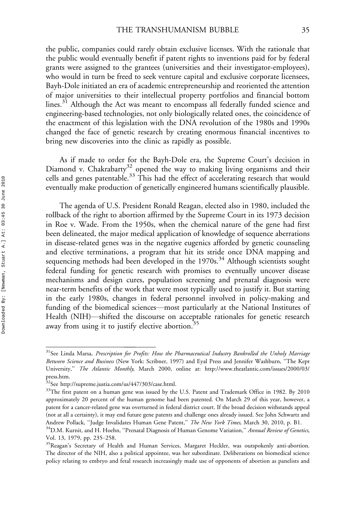the public, companies could rarely obtain exclusive licenses. With the rationale that the public would eventually benefit if patent rights to inventions paid for by federal grants were assigned to the grantees (universities and their investigator-employees), who would in turn be freed to seek venture capital and exclusive corporate licensees, Bayh-Dole initiated an era of academic entrepreneurship and reoriented the attention of major universities to their intellectual property portfolios and financial bottom lines.<sup>31</sup> Although the Act was meant to encompass all federally funded science and engineering-based technologies, not only biologically related ones, the coincidence of the enactment of this legislation with the DNA revolution of the 1980s and 1990s changed the face of genetic research by creating enormous financial incentives to bring new discoveries into the clinic as rapidly as possible.

As if made to order for the Bayh-Dole era, the Supreme Court's decision in Diamond v. Chakrabarty<sup>32</sup> opened the way to making living organisms and their cells and genes patentable.<sup>33</sup> This had the effect of accelerating research that would eventually make production of genetically engineered humans scientifically plausible.

The agenda of U.S. President Ronald Reagan, elected also in 1980, included the rollback of the right to abortion affirmed by the Supreme Court in its 1973 decision in Roe v. Wade. From the 1950s, when the chemical nature of the gene had first been delineated, the major medical application of knowledge of sequence aberrations in disease-related genes was in the negative eugenics afforded by genetic counseling and elective terminations, a program that hit its stride once DNA mapping and sequencing methods had been developed in the 1970s.<sup>34</sup> Although scientists sought federal funding for genetic research with promises to eventually uncover disease mechanisms and design cures, population screening and prenatal diagnosis were near-term benefits of the work that were most typically used to justify it. But starting in the early 1980s, changes in federal personnel involved in policy-making and funding of the biomedical sciences—most particularly at the National Institutes of Health (NIH)—shifted the discourse on acceptable rationales for genetic research away from using it to justify elective abortion.<sup>35</sup>

<sup>&</sup>lt;sup>31</sup>See Linda Marsa, Prescription for Profits: How the Pharmaceutical Industry Bankrolled the Unholy Marriage Between Science and Business (New York: Scribner, 1997) and Eyal Press and Jennifer Washburn, "The Kept University,'' The Atlantic Monthly, March 2000, online at: [http://www.theatlantic.com/issues/2000/03/](http://singularityu.org/) [press.htm](http://singularityu.org/).

<sup>&</sup>lt;sup>32</sup>See [http://supreme.justia.com/us/447/303/case.html](http://ieet.org/HETHR/ProgramBook.pdf).

<sup>&</sup>lt;sup>33</sup>The first patent on a human gene was issued by the U.S. Patent and Trademark Office in 1982. By 2010 approximately 20 percent of the human genome had been patented. On March 29 of this year, however, a patent for a cancer-related gene was overturned in federal district court. If the broad decision withstands appeal (not at all a certainty), it may end future gene patents and challenge ones already issued. See John Schwartz and

Andrew Pollack, "Judge Invalidates Human Gene Patent," *The New York Times*, March 30, 2010, p. B1.<br><sup>34</sup>D.M. Kurnit, and H. Hoehn, "Prenatal Diagnosis of Human Genome Variation," *Annual Review of Genetics*, Vol. 13, 1979, pp. 235-258.

<sup>&</sup>lt;sup>35</sup>Reagan's Secretary of Health and Human Services, Margaret Heckler, was outspokenly anti-abortion. The director of the NIH, also a political appointee, was her subordinate. Deliberations on biomedical science policy relating to embryo and fetal research increasingly made use of opponents of abortion as panelists and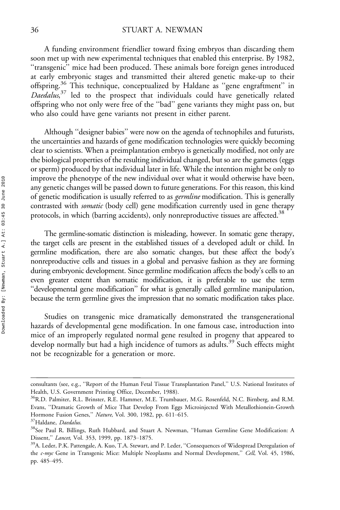#### 36 STUART A. NEWMAN

A funding environment friendlier toward fixing embryos than discarding them soon met up with new experimental techniques that enabled this enterprise. By 1982, ''transgenic'' mice had been produced. These animals bore foreign genes introduced at early embryonic stages and transmitted their altered genetic make-up to their offspring.<sup>36</sup> This technique, conceptualized by Haldane as "gene engraftment" in Daedalus,<sup>37</sup> led to the prospect that individuals could have genetically related offspring who not only were free of the ''bad'' gene variants they might pass on, but who also could have gene variants not present in either parent.

Although ''designer babies'' were now on the agenda of technophiles and futurists, the uncertainties and hazards of gene modification technologies were quickly becoming clear to scientists. When a preimplantation embryo is genetically modified, not only are the biological properties of the resulting individual changed, but so are the gametes (eggs or sperm) produced by that individual later in life. While the intention might be only to improve the phenotype of the new individual over what it would otherwise have been, any genetic changes will be passed down to future generations. For this reason, this kind of genetic modification is usually referred to as *germline* modification. This is generally contrasted with *somatic* (body cell) gene modification currently used in gene therapy protocols, in which (barring accidents), only nonreproductive tissues are affected.<sup>38</sup>

The germline-somatic distinction is misleading, however. In somatic gene therapy, the target cells are present in the established tissues of a developed adult or child. In germline modification, there are also somatic changes, but these affect the body's nonreproductive cells and tissues in a global and pervasive fashion as they are forming during embryonic development. Since germline modification affects the body's cells to an even greater extent than somatic modification, it is preferable to use the term ''developmental gene modification'' for what is generally called germline manipulation, because the term germline gives the impression that no somatic modification takes place.

Studies on transgenic mice dramatically demonstrated the transgenerational hazards of developmental gene modification. In one famous case, introduction into mice of an improperly regulated normal gene resulted in progeny that appeared to develop normally but had a high incidence of tumors as adults.<sup>39</sup> Such effects might not be recognizable for a generation or more.

consultants (see, e.g., ''Report of the Human Fetal Tissue Transplantation Panel,'' U.S. National Institutes of Health, U.S. Government Printing Office, December, 1988).

<sup>36</sup>R.D. Palmiter, R.L. Brinster, R.E. Hammer, M.E. Trumbauer, M.G. Rosenfeld, N.C. Birnberg, and R.M. Evans, ''Dramatic Growth of Mice That Develop From Eggs Microinjected With Metallothionein-Growth Hormone Fusion Genes," Nature, Vol. 300, 1982, pp. 611-615.<br><sup>37</sup>Haldane, *Daedalus*.

<sup>&</sup>lt;sup>38</sup>See Paul R. Billings, Ruth Hubbard, and Stuart A. Newman, "Human Germline Gene Modification: A Dissent," Lancet, Vol. 353, 1999, pp. 1873-1875.

<sup>&</sup>lt;sup>39</sup>A. Leder, P.K. Pattengale, A. Kuo, T.A. Stewart, and P. Leder, "Consequences of Widespread Deregulation of the c-myc Gene in Transgenic Mice: Multiple Neoplasms and Normal Development," Cell, Vol. 45, 1986, pp. 485-495.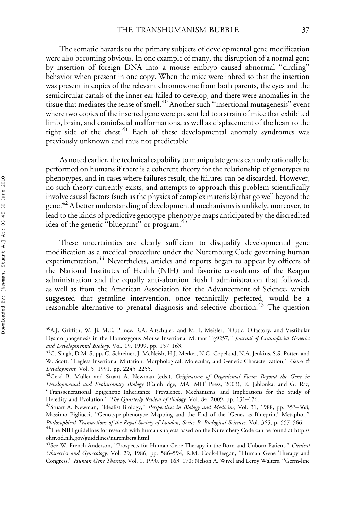The somatic hazards to the primary subjects of developmental gene modification were also becoming obvious. In one example of many, the disruption of a normal gene by insertion of foreign DNA into a mouse embryo caused abnormal ''circling'' behavior when present in one copy. When the mice were inbred so that the insertion was present in copies of the relevant chromosome from both parents, the eyes and the semicircular canals of the inner ear failed to develop, and there were anomalies in the tissue that mediates the sense of smell.<sup>40</sup> Another such "insertional mutagenesis" event where two copies of the inserted gene were present led to a strain of mice that exhibited limb, brain, and craniofacial malformations, as well as displacement of the heart to the right side of the chest.<sup>41</sup> Each of these developmental anomaly syndromes was previously unknown and thus not predictable.

As noted earlier, the technical capability to manipulate genes can only rationally be performed on humans if there is a coherent theory for the relationship of genotypes to phenotypes, and in cases where failures result, the failures can be discarded. However, no such theory currently exists, and attempts to approach this problem scientifically involve causal factors (such as the physics of complex materials) that go well beyond the gene. <sup>42</sup> A better understanding of developmental mechanisms is unlikely, moreover, to lead to the kinds of predictive genotype-phenotype maps anticipated by the discredited idea of the genetic "blueprint" or program.<sup>43</sup>

These uncertainties are clearly sufficient to disqualify developmental gene modification as a medical procedure under the Nuremburg Code governing human experimentation.<sup>44</sup> Nevertheless, articles and reports began to appear by officers of the National Institutes of Health (NIH) and favorite consultants of the Reagan administration and the equally anti-abortion Bush I administration that followed, as well as from the American Association for the Advancement of Science, which suggested that germline intervention, once technically perfected, would be a reasonable alternative to prenatal diagnosis and selective abortion.<sup>45</sup> The question

<sup>&</sup>lt;sup>40</sup>A.J. Griffith, W. Ji, M.E. Prince, R.A. Altschuler, and M.H. Meisler, "Optic, Olfactory, and Vestibular Dysmorphogenesis in the Homozygous Mouse Insertional Mutant Tg9257,'' Journal of Craniofacial Genetics and Developmental Biology, Vol. 19, 1999, pp. 157-163.

<sup>&</sup>lt;sup>41</sup>G. Singh, D.M. Supp, C. Schreiner, J. McNeish, H.J. Merker, N.G. Copeland, N.A. Jenkins, S.S. Potter, and W. Scott, "Legless Insertional Mutation: Morphological, Molecular, and Genetic Characterization," Genes & Development, Vol. 5, 1991, pp. 2245-2255.

 $42$ Gerd B. Müller and Stuart A. Newman (eds.), Origination of Organismal Form: Beyond the Gene in Developmental and Evolutionary Biology (Cambridge, MA: MIT Press, 2003); E. Jablonka, and G. Raz, ''Transgenerational Epigenetic Inheritance: Prevalence, Mechanisms, and Implications for the Study of Heredity and Evolution," The Quarterly Review of Biology, Vol. 84, 2009, pp. 131-176. Heredity and Evolution," *The Quarterly Review of Biology*, Vol. 84, 2009, pp. 131–176.<br><sup>43</sup>Stuart A. Newman, ''Idealist Biology,'' *Perspectives in Biology and Medicine*, Vol. 31, 1988, pp. 353–368;

Massimo Pigliucci, ''Genotype-phenotype Mapping and the End of the 'Genes as Blueprint' Metaphor,'' Philosophical Transactions of the Royal Society of London, Series B, Biological Sciences, Vol. 365, p, 557-566.

<sup>&</sup>lt;sup>44</sup>The NIH guidelines for research with human subjects based on the Nuremberg Code can be found at [http://](http://singularityu.org/) [ohsr.od.nih.gov/guidelines/nuremberg.html.](http://singularityu.org/)

<sup>&</sup>lt;sup>45</sup>See W. French Anderson, "Prospects for Human Gene Therapy in the Born and Unborn Patient," Clinical Obstetrics and Gynecology, Vol. 29, 1986, pp. 586-594; R.M. Cook-Deegan, "Human Gene Therapy and Congress," *Human Gene Therapy*, Vol. 1, 1990, pp. 163–170; Nelson A. Wivel and Leroy Walters, "Germ-line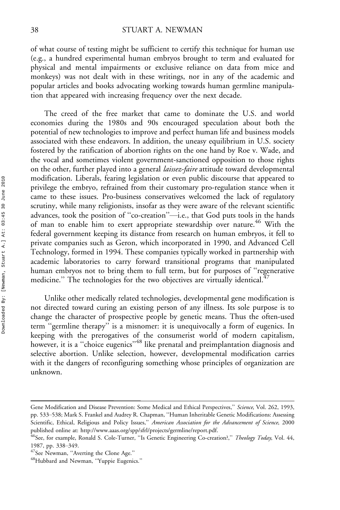#### 38 STUART A. NEWMAN

of what course of testing might be sufficient to certify this technique for human use (e.g., a hundred experimental human embryos brought to term and evaluated for physical and mental impairments or exclusive reliance on data from mice and monkeys) was not dealt with in these writings, nor in any of the academic and popular articles and books advocating working towards human germline manipulation that appeared with increasing frequency over the next decade.

The creed of the free market that came to dominate the U.S. and world economies during the 1980s and 90s encouraged speculation about both the potential of new technologies to improve and perfect human life and business models associated with these endeavors. In addition, the uneasy equilibrium in U.S. society fostered by the ratification of abortion rights on the one hand by Roe v. Wade, and the vocal and sometimes violent government-sanctioned opposition to those rights on the other, further played into a general *laissez-faire* attitude toward developmental modification. Liberals, fearing legislation or even public discourse that appeared to privilege the embryo, refrained from their customary pro-regulation stance when it came to these issues. Pro-business conservatives welcomed the lack of regulatory scrutiny, while many religionists, insofar as they were aware of the relevant scientific advances, took the position of "co-creation"—i.e., that God puts tools in the hands of man to enable him to exert appropriate stewardship over nature.<sup>46</sup> With the federal government keeping its distance from research on human embryos, it fell to private companies such as Geron, which incorporated in 1990, and Advanced Cell Technology, formed in 1994. These companies typically worked in partnership with academic laboratories to carry forward transitional programs that manipulated human embryos not to bring them to full term, but for purposes of ''regenerative medicine." The technologies for the two objectives are virtually identical. $47$ 

Unlike other medically related technologies, developmental gene modification is not directed toward curing an existing person of any illness. Its sole purpose is to change the character of prospective people by genetic means. Thus the often-used term ''germline therapy'' is a misnomer: it is unequivocally a form of eugenics. In keeping with the prerogatives of the consumerist world of modern capitalism, however, it is a "choice eugenics"<sup>48</sup> like prenatal and preimplantation diagnosis and selective abortion. Unlike selection, however, developmental modification carries with it the dangers of reconfiguring something whose principles of organization are unknown.

Gene Modification and Disease Prevention: Some Medical and Ethical Perspectives," Science, Vol. 262, 1993, pp. 533-538; Mark S. Frankel and Audrey R. Chapman, ''Human Inheritable Genetic Modifications: Assessing Scientific, Ethical, Religious and Policy Issues," American Association for the Advancement of Science, 2000 published online at: [http://www.aaas.org/spp/sfrl/projects/germline/report.pdf.](http://singularityu.org/)

<sup>&</sup>lt;sup>46</sup>See, for example, Ronald S. Cole-Turner, "Is Genetic Engineering Co-creation?," Theology Today, Vol. 44, 1987, pp. 338-

 $47$ See Newman, "Averting the Clone Age."  $48$ Hubbard and Newman, "Yuppie Eugenics."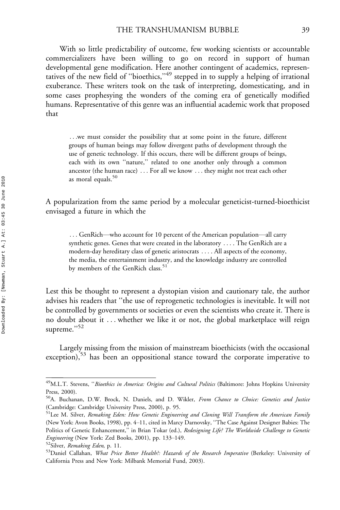With so little predictability of outcome, few working scientists or accountable commercializers have been willing to go on record in support of human developmental gene modification. Here another contingent of academics, representatives of the new field of ''bioethics,''<sup>49</sup> stepped in to supply a helping of irrational exuberance. These writers took on the task of interpreting, domesticating, and in some cases prophesying the wonders of the coming era of genetically modified humans. Representative of this genre was an influential academic work that proposed that

...we must consider the possibility that at some point in the future, different groups of human beings may follow divergent paths of development through the use of genetic technology. If this occurs, there will be different groups of beings, each with its own ''nature,'' related to one another only through a common ancestor (the human race) ... For all we know ... they might not treat each other as moral equals.<sup>50</sup>

A popularization from the same period by a molecular geneticist-turned-bioethicist envisaged a future in which the

... GenRich—who account for 10 percent of the American population—all carry synthetic genes. Genes that were created in the laboratory ... . The GenRich are a modern-day hereditary class of genetic aristocrats ... . All aspects of the economy, the media, the entertainment industry, and the knowledge industry are controlled by members of the GenRich class.<sup>51</sup>

Lest this be thought to represent a dystopian vision and cautionary tale, the author advises his readers that ''the use of reprogenetic technologies is inevitable. It will not be controlled by governments or societies or even the scientists who create it. There is no doubt about it ... whether we like it or not, the global marketplace will reign supreme."52

Largely missing from the mission of mainstream bioethicists (with the occasional exception),<sup>53</sup> has been an oppositional stance toward the corporate imperative to

<sup>&</sup>lt;sup>49</sup>M.L.T. Stevens, "Bioethics in America: Origins and Cultural Politics (Baltimore: Johns Hopkins University Press, 2000).

<sup>&</sup>lt;sup>50</sup>A. Buchanan, D.W. Brock, N. Daniels, and D. Wikler, From Chance to Choice: Genetics and Justice (Cambridge: Cambridge University Press, 2000), p. 95.

<sup>&</sup>lt;sup>51</sup>Lee M. Silver, Remaking Eden: How Genetic Engineering and Cloning Will Transform the American Family (New York: Avon Books, 1998), pp. 4-11, cited in Marcy Darnovsky, ''The Case Against Designer Babies: The Politics of Genetic Enhancement," in Brian Tokar (ed.), Redesigning Life? The Worldwide Challenge to Genetic Engineering (New York: Zed Books, 2001), pp. 133-149.

<sup>&</sup>lt;sup>52</sup>Silver, *Remaking Eden*, p. 11.<br><sup>53</sup>Daniel Callahan, *What Price Better Health?: Hazards of the Research Imperative* (Berkeley: University of California Press and New York: Milbank Memorial Fund, 2003).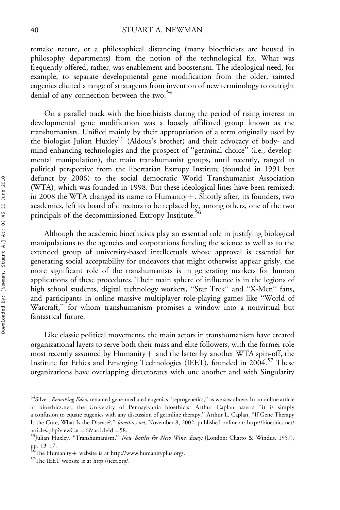remake nature, or a philosophical distancing (many bioethicists are housed in philosophy departments) from the notion of the technological fix. What was frequently offered, rather, was enablement and boosterism. The ideological need, for example, to separate developmental gene modification from the older, tainted eugenics elicited a range of stratagems from invention of new terminology to outright denial of any connection between the two.<sup>54</sup>

On a parallel track with the bioethicists during the period of rising interest in developmental gene modification was a loosely affiliated group known as the transhumanists. Unified mainly by their appropriation of a term originally used by the biologist Julian Huxley<sup>55</sup> (Aldous's brother) and their advocacy of body- and mind-enhancing technologies and the prospect of ''germinal choice'' (i.e., developmental manipulation), the main transhumanist groups, until recently, ranged in political perspective from the libertarian Extropy Institute (founded in 1991 but defunct by 2006) to the social democratic World Transhumanist Association (WTA), which was founded in 1998. But these ideological lines have been remixed: in 2008 the WTA changed its name to Humanity $+$ . Shortly after, its founders, two academics, left its board of directors to be replaced by, among others, one of the two principals of the decommissioned Extropy Institute.<sup>56</sup>

Although the academic bioethicists play an essential role in justifying biological manipulations to the agencies and corporations funding the science as well as to the extended group of university-based intellectuals whose approval is essential for generating social acceptability for endeavors that might otherwise appear grisly, the more significant role of the transhumanists is in generating markets for human applications of these procedures. Their main sphere of influence is in the legions of high school students, digital technology workers, ''Star Trek'' and ''X-Men'' fans, and participants in online massive multiplayer role-playing games like ''World of Warcraft,'' for whom transhumanism promises a window into a nonvirtual but fantastical future.

Like classic political movements, the main actors in transhumanism have created organizational layers to serve both their mass and elite followers, with the former role most recently assumed by Humanity  $+$  and the latter by another WTA spin-off, the Institute for Ethics and Emerging Technologies (IEET), founded in 2004.<sup>57</sup> These organizations have overlapping directorates with one another and with Singularity

<sup>&</sup>lt;sup>54</sup>Silver, Remaking Eden, renamed gene-mediated eugenics "reprogenetics," as we saw above. In an online article at bioethics.net, the University of Pennsylvania bioethicist Arthur Caplan asserts ''it is simply a confusion to equate eugenics with any discussion of germline therapy.'' Arthur L. Caplan, ''If Gene Therapy Is the Cure, What Is the Disease?,'' bioethics.net, November 8, 2002, published online at: [http://bioethics.net/](http://singularityu.org/) [articles.php?viewCat](http://singularityu.org/) = [6&articleId](http://singularityu.org/) = [58.](http://singularityu.org/)<br><sup>55</sup>Julian Huxley, ''Transhumanism,'' *New Bottles for New Wine, Essays* (London: Chatto & Windus, 1957),

pp. 13–17.<br><sup>56</sup>The Humanity+ website is at [http://www.humanityplus.org/.](http://ieet.org/HETHR/ProgramBook.pdf)<br><sup>57</sup>The IEET website is at [http://ieet.org/.](http://www.geneticsandsociety.org/)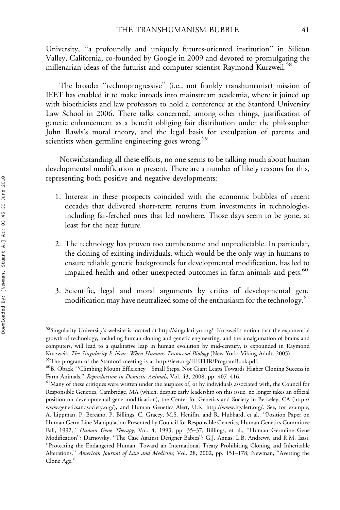University, "a profoundly and uniquely futures-oriented institution" in Silicon Valley, California, co-founded by Google in 2009 and devoted to promulgating the millenarian ideas of the futurist and computer scientist Raymond Kurzweil.<sup>58</sup>

The broader ''technoprogressive'' (i.e., not frankly transhumanist) mission of IEET has enabled it to make inroads into mainstream academia, where it joined up with bioethicists and law professors to hold a conference at the Stanford University Law School in 2006. There talks concerned, among other things, justification of genetic enhancement as a benefit obliging fair distribution under the philosopher John Rawls's moral theory, and the legal basis for exculpation of parents and scientists when germline engineering goes wrong.<sup>59</sup>

Notwithstanding all these efforts, no one seems to be talking much about human developmental modification at present. There are a number of likely reasons for this, representing both positive and negative developments:

- 1. Interest in these prospects coincided with the economic bubbles of recent decades that delivered short-term returns from investments in technologies, including far-fetched ones that led nowhere. Those days seem to be gone, at least for the near future.
- 2. The technology has proven too cumbersome and unpredictable. In particular, the cloning of existing individuals, which would be the only way in humans to ensure reliable genetic backgrounds for developmental modification, has led to impaired health and other unexpected outcomes in farm animals and pets.<sup>60</sup>
- 3. Scientific, legal and moral arguments by critics of developmental gene modification may have neutralized some of the enthusiasm for the technology.<sup>61</sup>

<sup>&</sup>lt;sup>58</sup>Singularity University's website is located at [http://singularityu.org/. Kurzweil's notion that the exponential](http://singularityu.org/) [growth of technology, including human cloning and genetic engineering, and the amalgamation of brains and](http://singularityu.org/) [computers, will lead to a qualitative leap in human evolution by mid-century, is expounded in Raymond](http://singularityu.org/) Kurzweil, [The Singularity Is Near: When Humans Transcend Biology](http://singularityu.org/) (New York: Viking Adult, 2005).<br><sup>59</sup>The program of the Stanford meeting is at<http://ieet.org/HETHR/ProgramBook.pdf>.

<sup>&</sup>lt;sup>60</sup>B. Oback, "Climbing Mount Efficiency-Small Steps, Not Giant Leaps Towards Higher Cloning Success in Farm Animals," Reproduction in Domestic Animals, Vol. 43, 2008, pp. 407-416.

 $<sup>61</sup>$ Many of these critiques were written under the auspices of, or by individuals associated with, the Council for</sup> Responsible Genetics, Cambridge, MA (which, despite early leadership on this issue, no longer takes an official position on developmental gene modification), the Center for Genetics and Society in Berkeley, CA ([http://](http://www.geneticsandsociety.org/) [www.geneticsandsociety.org](http://www.geneticsandsociety.org/)[/\), and Human Genetics Alert, U.K. http://www.hgalert.org/. See, for example,](http://www.hgalert.org/) [A. Lippman, P. Bereano, P. Billings, C. Gracey, M.S. Henifin, and R. Hubbard, et al.,](http://www.hgalert.org/) ''Position Paper on [Human Germ Line Manipulation Presented by Council for Responsible Genetics, Human Genetics Committee](http://www.hgalert.org/) Fall, 1992," *Human Gene Therapy*[, Vol. 4, 1993, pp. 35](http://www.hgalert.org/)–37; Billings, et al., "Human Germline Gene Modification''; Darnovsky, [''The Case Against Designer Babies''; G.J. Annas, L.B. Andrews, and R.M. Isasi,](http://www.hgalert.org/) [''Protecting the Endangered Human: Toward an International Treaty Prohibiting Cloning and Inheritable](http://www.hgalert.org/) Alterations," *[American Journal of Law and Medicine](http://www.hgalert.org/)*, Vol. 28, 2002, pp. 151–[178; Newman,](http://www.hgalert.org/) "Averting the [Clone Age.''](http://www.hgalert.org/)